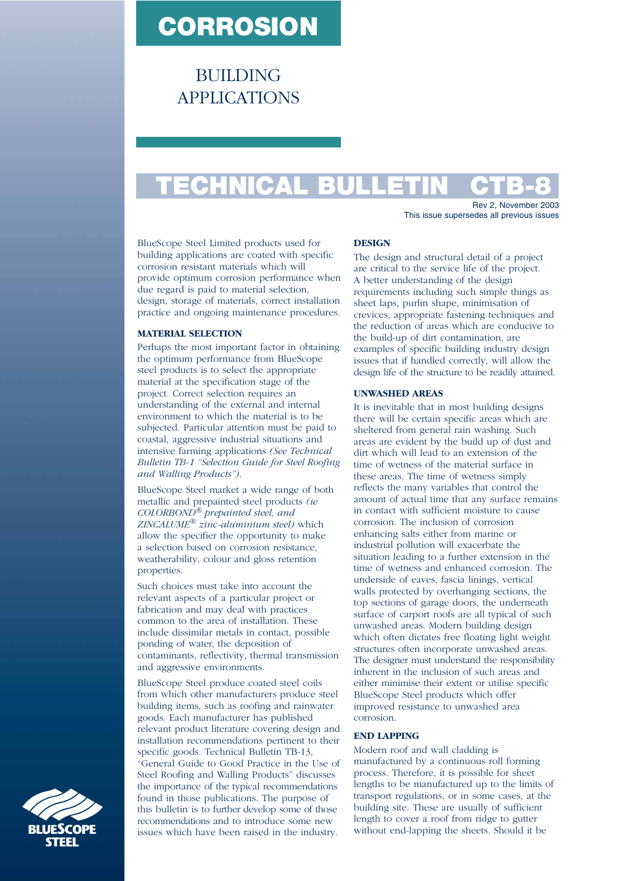# **CORROSION**

**BUILDING** APPLICATIONS

# **TECHNICAL BULLETIN CTB-8**

Rev 2, November 2003 This issue supersedes all previous issues

BlueScope Steel Limited products used for building applications are coated with specific corrosion resistant materials which will provide optimum corrosion performance when due regard is paid to material selection, design, storage of materials, correct installation practice and ongoing maintenance procedures.

# **MATERIAL SELECTION**

Perhaps the most important factor in obtaining the optimum performance from BlueScope steel products is to select the appropriate material at the specification stage of the project. Correct selection requires an understanding of the external and internal environment to which the material is to be subjected. Particular attention must be paid to coastal, aggressive industrial situations and intensive farming applications *(See Technical Bulletin TB-1 "Selection Guide for Steel Roofing and Walling Products")*.

BlueScope Steel market a wide range of both metallic and prepainted steel products *(ie COLORBOND® prepainted steel, and ZINCALUME® zinc-aluminium steel)* which allow the specifier the opportunity to make a selection based on corrosion resistance, weatherability, colour and gloss retention properties.

Such choices must take into account the relevant aspects of a particular project or fabrication and may deal with practices common to the area of installation. These include dissimilar metals in contact, possible ponding of water, the deposition of contaminants, reflectivity, thermal transmission and aggressive environments.

BlueScope Steel produce coated steel coils from which other manufacturers produce steel building items, such as roofing and rainwater goods. Each manufacturer has published relevant product literature covering design and installation recommendations pertinent to their specific goods. Technical Bulletin TB-13, "General Guide to Good Practice in the Use of Steel Roofing and Walling Products" discusses the importance of the typical recommendations found in those publications. The purpose of this bulletin is to further develop some of those recommendations and to introduce some new issues which have been raised in the industry.

## **DESIGN**

The design and structural detail of a project are critical to the service life of the project. A better understanding of the design requirements including such simple things as sheet laps, purlin shape, minimisation of crevices, appropriate fastening techniques and the reduction of areas which are conducive to the build-up of dirt contamination, are examples of specific building industry design issues that if handled correctly, will allow the design life of the structure to be readily attained.

## **UNWASHED AREAS**

It is inevitable that in most building designs there will be certain specific areas which are sheltered from general rain washing. Such areas are evident by the build up of dust and dirt which will lead to an extension of the time of wetness of the material surface in these areas. The time of wetness simply reflects the many variables that control the amount of actual time that any surface remains in contact with sufficient moisture to cause corrosion. The inclusion of corrosion enhancing salts either from marine or industrial pollution will exacerbate the situation leading to a further extension in the time of wetness and enhanced corrosion. The underside of eaves, fascia linings, vertical walls protected by overhanging sections, the top sections of garage doors, the underneath surface of carport roofs are all typical of such unwashed areas. Modern building design which often dictates free floating light weight structures often incorporate unwashed areas. The designer must understand the responsibility inherent in the inclusion of such areas and either minimise their extent or utilise specific BlueScope Steel products which offer improved resistance to unwashed area corrosion.

### **END LAPPING**

Modern roof and wall cladding is manufactured by a continuous roll forming process. Therefore, it is possible for sheet lengths to be manufactured up to the limits of transport regulations, or in some cases, at the building site. These are usually of sufficient length to cover a roof from ridge to gutter without end-lapping the sheets. Should it be

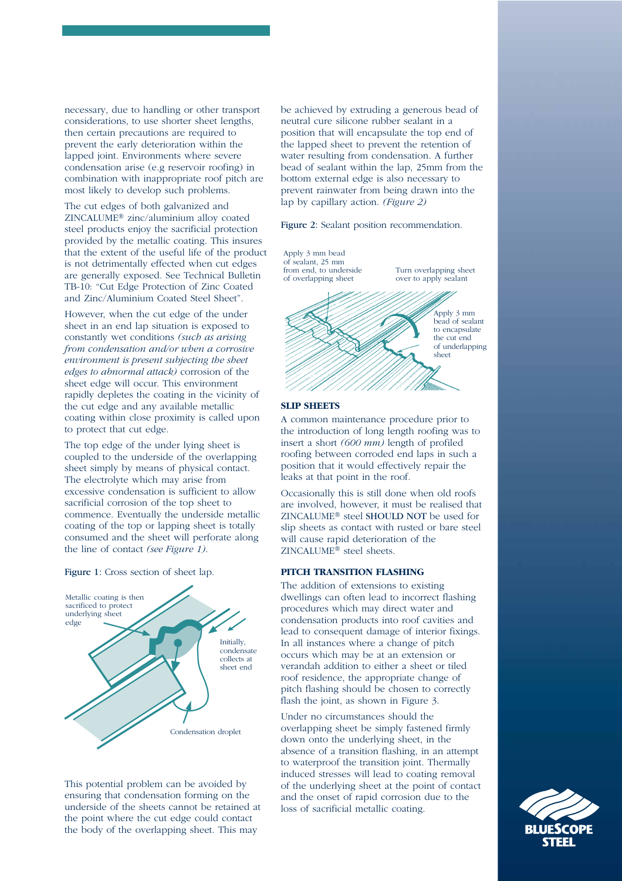necessary, due to handling or other transport considerations, to use shorter sheet lengths, then certain precautions are required to prevent the early deterioration within the lapped joint. Environments where severe condensation arise (e.g reservoir roofing) in combination with inappropriate roof pitch are most likely to develop such problems.

The cut edges of both galvanized and ZINCALUME® zinc/aluminium alloy coated steel products enjoy the sacrificial protection provided by the metallic coating. This insures that the extent of the useful life of the product is not detrimentally effected when cut edges are generally exposed. See Technical Bulletin TB-10: "Cut Edge Protection of Zinc Coated and Zinc/Aluminium Coated Steel Sheet".

However, when the cut edge of the under sheet in an end lap situation is exposed to constantly wet conditions *(such as arising from condensation and/or when a corrosive environment is present subjecting the sheet edges to abnormal attack)* corrosion of the sheet edge will occur. This environment rapidly depletes the coating in the vicinity of the cut edge and any available metallic coating within close proximity is called upon to protect that cut edge.

The top edge of the under lying sheet is coupled to the underside of the overlapping sheet simply by means of physical contact. The electrolyte which may arise from excessive condensation is sufficient to allow sacrificial corrosion of the top sheet to commence. Eventually the underside metallic coating of the top or lapping sheet is totally consumed and the sheet will perforate along the line of contact *(see Figure 1)*.

Figure 1: Cross section of sheet lap.



This potential problem can be avoided by ensuring that condensation forming on the underside of the sheets cannot be retained at the point where the cut edge could contact the body of the overlapping sheet. This may

be achieved by extruding a generous bead of neutral cure silicone rubber sealant in a position that will encapsulate the top end of the lapped sheet to prevent the retention of water resulting from condensation. A further bead of sealant within the lap, 25mm from the bottom external edge is also necessary to prevent rainwater from being drawn into the lap by capillary action. *(Figure 2)*

## Figure 2: Sealant position recommendation.



### **SLIP SHEETS**

A common maintenance procedure prior to the introduction of long length roofing was to insert a short *(600 mm)* length of profiled roofing between corroded end laps in such a position that it would effectively repair the leaks at that point in the roof.

Occasionally this is still done when old roofs are involved, however, it must be realised that ZINCALUME® steel SHOULD NOT be used for slip sheets as contact with rusted or bare steel will cause rapid deterioration of the ZINCALUME® steel sheets.

#### **PITCH TRANSITION FLASHING**

The addition of extensions to existing dwellings can often lead to incorrect flashing procedures which may direct water and condensation products into roof cavities and lead to consequent damage of interior fixings. In all instances where a change of pitch occurs which may be at an extension or verandah addition to either a sheet or tiled roof residence, the appropriate change of pitch flashing should be chosen to correctly flash the joint, as shown in Figure 3.

Under no circumstances should the overlapping sheet be simply fastened firmly down onto the underlying sheet, in the absence of a transition flashing, in an attempt to waterproof the transition joint. Thermally induced stresses will lead to coating removal of the underlying sheet at the point of contact and the onset of rapid corrosion due to the loss of sacrificial metallic coating.

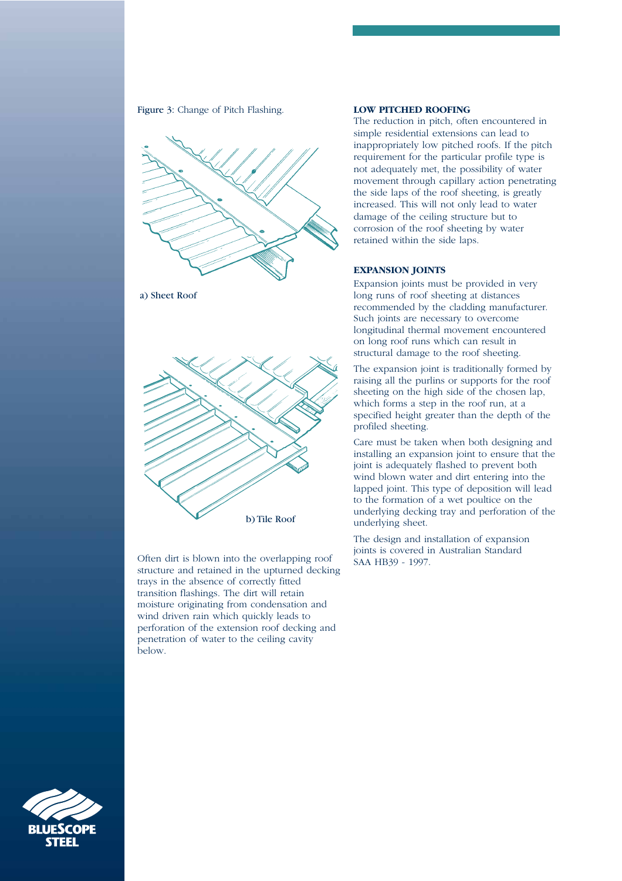Figure 3: Change of Pitch Flashing.



a) Sheet Roof



Often dirt is blown into the overlapping roof structure and retained in the upturned decking trays in the absence of correctly fitted transition flashings. The dirt will retain moisture originating from condensation and wind driven rain which quickly leads to perforation of the extension roof decking and penetration of water to the ceiling cavity below.

## **LOW PITCHED ROOFING**

The reduction in pitch, often encountered in simple residential extensions can lead to inappropriately low pitched roofs. If the pitch requirement for the particular profile type is not adequately met, the possibility of water movement through capillary action penetrating the side laps of the roof sheeting, is greatly increased. This will not only lead to water damage of the ceiling structure but to corrosion of the roof sheeting by water retained within the side laps.

# **EXPANSION JOINTS**

Expansion joints must be provided in very long runs of roof sheeting at distances recommended by the cladding manufacturer. Such joints are necessary to overcome longitudinal thermal movement encountered on long roof runs which can result in structural damage to the roof sheeting.

The expansion joint is traditionally formed by raising all the purlins or supports for the roof sheeting on the high side of the chosen lap, which forms a step in the roof run, at a specified height greater than the depth of the profiled sheeting.

Care must be taken when both designing and installing an expansion joint to ensure that the joint is adequately flashed to prevent both wind blown water and dirt entering into the lapped joint. This type of deposition will lead to the formation of a wet poultice on the underlying decking tray and perforation of the underlying sheet.

The design and installation of expansion joints is covered in Australian Standard SAA HB39 - 1997.